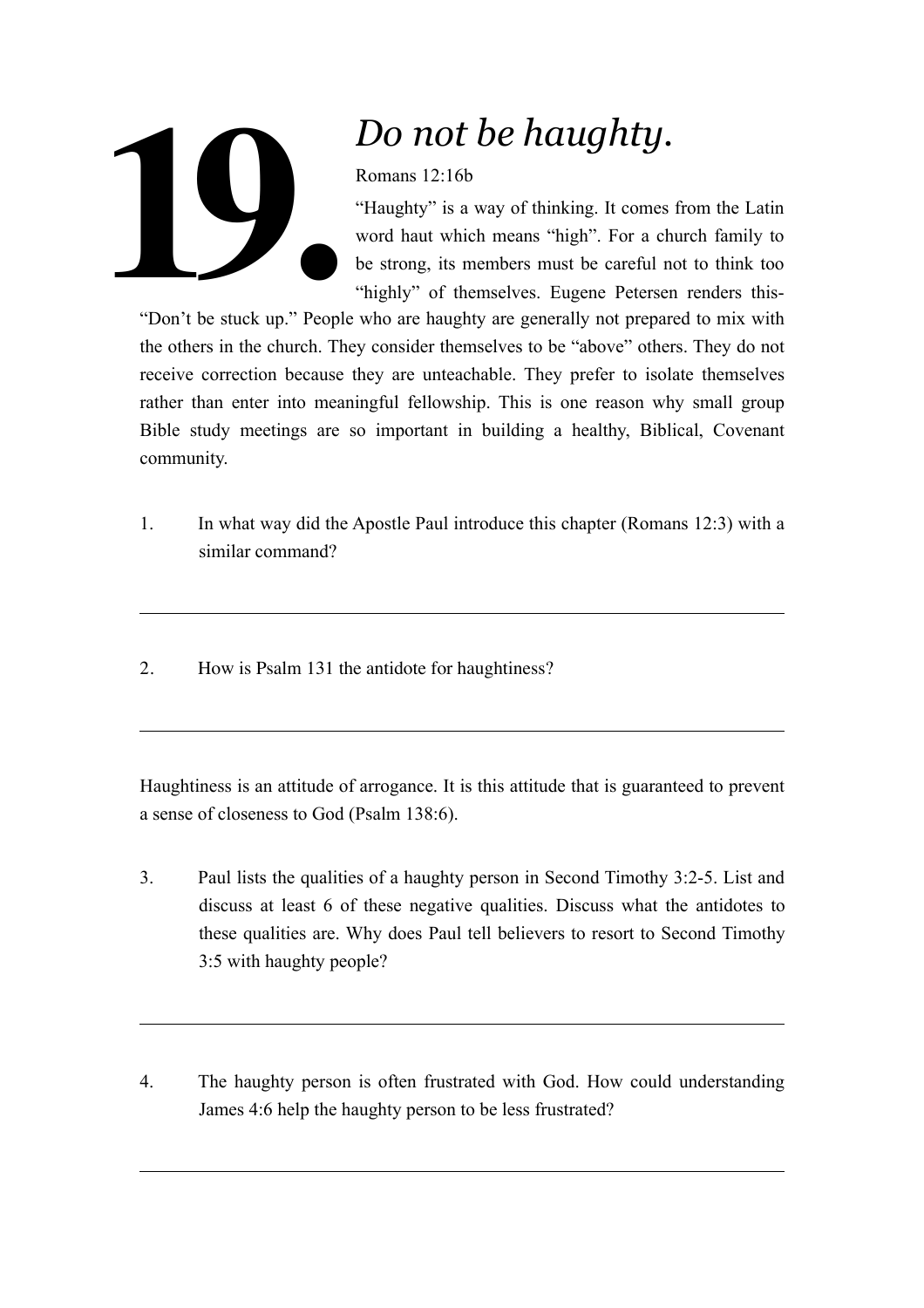

## *Do not be haughty.*

Romans 12:16b

"Haughty" is a way of thinking. It comes from the Latin word haut which means "high". For a church family to be strong, its members must be careful not to think too "highly" of themselves. Eugene Petersen renders this-

"Don't be stuck up." People who are haughty are generally not prepared to mix with the others in the church. They consider themselves to be "above" others. They do not receive correction because they are unteachable. They prefer to isolate themselves rather than enter into meaningful fellowship. This is one reason why small group Bible study meetings are so important in building a healthy, Biblical, Covenant community.

- 1. In what way did the Apostle Paul introduce this chapter (Romans 12:3) with a similar command?
- 2. How is Psalm 131 the antidote for haughtiness?

Haughtiness is an attitude of arrogance. It is this attitude that is guaranteed to prevent a sense of closeness to God (Psalm 138:6).

- 3. Paul lists the qualities of a haughty person in Second Timothy 3:2-5. List and discuss at least 6 of these negative qualities. Discuss what the antidotes to these qualities are. Why does Paul tell believers to resort to Second Timothy 3:5 with haughty people?
- 4. The haughty person is often frustrated with God. How could understanding James 4:6 help the haughty person to be less frustrated?